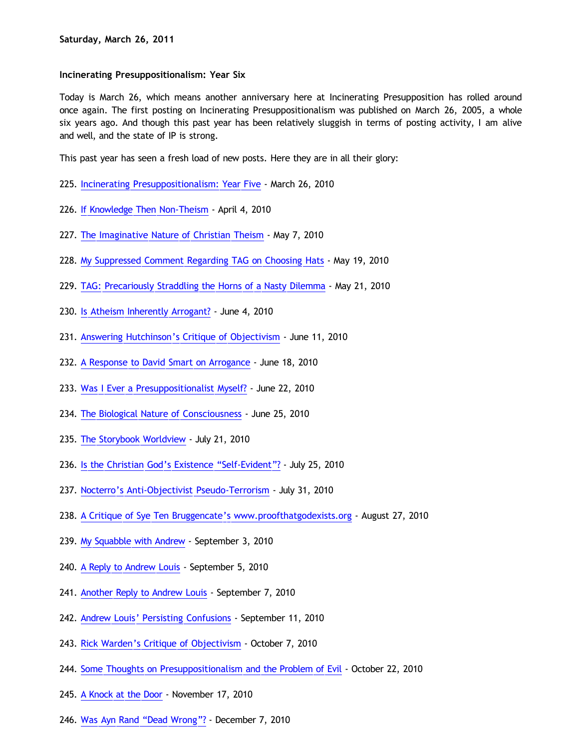## **Incinerating Presuppositionalism: Year Six**

Today is March 26, which means another anniversary here at Incinerating Presupposition has rolled around once again. The first posting on Incinerating Presuppositionalism was published on March 26, 2005, a whole six years ago. And though this past year has been relatively sluggish in terms of posting activity, I am alive and well, and the state of IP is strong.

This past year has seen a fresh load of new posts. Here they are in all their glory:

- 225. [Incinerating Presuppositionalism: Year Five](http://bahnsenburner.blogspot.com/2010/03/incinerating-presuppositionalism-year.html)  March 26, 2010
- 226. [If Knowledge Then Non-Theism](http://bahnsenburner.blogspot.com/2010/04/if-knowledge-then-non-theism.html) April 4, 2010
- 227. [The Imaginative Nature of Christian Theism](http://bahnsenburner.blogspot.com/2010/05/imaginative-nature-of-christian-theism.html)  May 7, 2010
- 228. [My Suppressed Comment Regarding TAG on Choosing Hats](http://bahnsenburner.blogspot.com/2010/05/my-suppressed-comment-regarding-tag-on.html)  May 19, 2010
- 229. [TAG: Precariously Straddling the Horns of a Nasty Dilemma](http://bahnsenburner.blogspot.com/2010/05/tag-precariously-straddling-horns-of.html) May 21, 2010
- 230. [Is Atheism Inherently Arrogant?](http://bahnsenburner.blogspot.com/2010/06/is-atheism-inherently-arrogant.html)  June 4, 2010
- 231. [Answering Hutchinson's Critique of Objectivism](http://bahnsenburner.blogspot.com/2010/06/answering-hutchinsons-critique-of.html) June 11, 2010
- 232. [A Response to David Smart on Arrogance](http://bahnsenburner.blogspot.com/2010/06/response-to-david-smart-on-arrogance.html)  June 18, 2010
- 233. [Was I Ever a Presuppositionalist Myself?](http://bahnsenburner.blogspot.com/2010/06/was-i-ever-presuppositionalist-myself.html)  June 22, 2010
- 234. [The Biological Nature of Consciousness](http://bahnsenburner.blogspot.com/2010/06/biological-nature-of-consciousness.html) June 25, 2010
- 235. [The Storybook Worldview](http://bahnsenburner.blogspot.com/2010/07/storybook-worldview.html) July 21, 2010
- 236. [Is the Christian God's Existence](http://bahnsenburner.blogspot.com/2010/07/is-christian-gods-existence-self.html) ["Self-Evident"?](http://bahnsenburner.blogspot.com/2010/07/is-christian-gods-existence-self.html) July 25, 2010
- 237. [Nocterro's Anti-Objectivist Pseudo-Terrorism](http://bahnsenburner.blogspot.com/2010/07/nocterros-anti-objectivist-pseudo.html)  July 31, 2010
- 238. [A Critique of Sye Ten Bruggencate's www.proofthatgodexists.org](http://bahnsenburner.blogspot.com/2010/08/critique-of-sye-ten-bruggencates.html)  August 27, 2010
- 239. [My Squabble with Andrew](http://bahnsenburner.blogspot.com/2010/09/my-squabble-with-andrew.html) September 3, 2010
- 240. [A Reply to Andrew Louis](http://bahnsenburner.blogspot.com/2010/09/reply-to-andrew-louis.html) September 5, 2010
- 241. [Another Reply to Andrew Louis](http://bahnsenburner.blogspot.com/2010/09/another-reply-to-andrew-louis.html)  September 7, 2010
- 242. [Andrew Louis' Persisting Confusions](http://bahnsenburner.blogspot.com/2010/09/andrew-louis-persisting-confusions.html) September 11, 2010
- 243. [Rick Warden's Critique of Objectivism](http://bahnsenburner.blogspot.com/2010/10/rick-wardens-critique-of-objectivism.html)  October 7, 2010
- 244. [Some Thoughts on Presuppositionalism and the Problem of Evil](http://bahnsenburner.blogspot.com/2010/10/some-thoughts-on-presuppositionalism.html) October 22, 2010
- 245. [A Knock at the Door](http://bahnsenburner.blogspot.com/2010/11/knock-at-door.html) November 17, 2010
- 246. [Was Ayn Rand](http://bahnsenburner.blogspot.com/2010/12/was-ayn-rand-dead-wrong.html) ["Dead Wrong"?](http://bahnsenburner.blogspot.com/2010/12/was-ayn-rand-dead-wrong.html) December 7, 2010